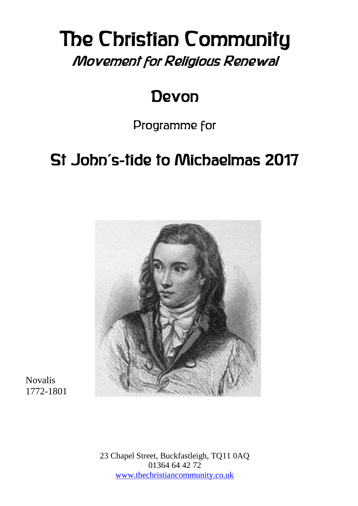# The Christian Community Movement for Religious Renewal

## Devon

Programme for

# St John's-tide to Michaelmas 2017



Novalis 1772-1801

> 23 Chapel Street, Buckfastleigh, TQ11 0AQ 01364 64 42 72 [www.thechristiancommunity.co.uk](http://www.thechristiancommunity.co.uk/)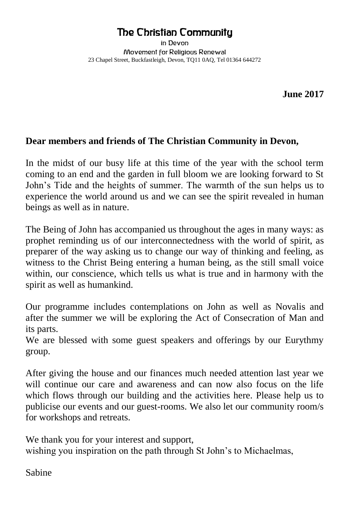#### The Christian Community

in Devon Movement for Religious Renewal 23 Chapel Street, Buckfastleigh, Devon, TQ11 0AQ, Tel 01364 644272

**June 2017**

#### **Dear members and friends of The Christian Community in Devon,**

In the midst of our busy life at this time of the year with the school term coming to an end and the garden in full bloom we are looking forward to St John's Tide and the heights of summer. The warmth of the sun helps us to experience the world around us and we can see the spirit revealed in human beings as well as in nature.

The Being of John has accompanied us throughout the ages in many ways: as prophet reminding us of our interconnectedness with the world of spirit, as preparer of the way asking us to change our way of thinking and feeling, as witness to the Christ Being entering a human being, as the still small voice within, our conscience, which tells us what is true and in harmony with the spirit as well as humankind.

Our programme includes contemplations on John as well as Novalis and after the summer we will be exploring the Act of Consecration of Man and its parts.

We are blessed with some guest speakers and offerings by our Eurythmy group.

After giving the house and our finances much needed attention last year we will continue our care and awareness and can now also focus on the life which flows through our building and the activities here. Please help us to publicise our events and our guest-rooms. We also let our community room/s for workshops and retreats.

We thank you for your interest and support, wishing you inspiration on the path through St John's to Michaelmas,

Sabine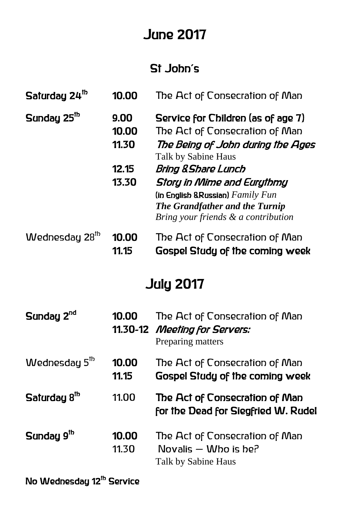## June 2017

### St John's

| Saturday 24 <sup>th</sup>  | 10.00                                    | The Act of Consecration of Man                                                                                                                                                                                                                                                                               |  |  |
|----------------------------|------------------------------------------|--------------------------------------------------------------------------------------------------------------------------------------------------------------------------------------------------------------------------------------------------------------------------------------------------------------|--|--|
| Sunday 25 <sup>th</sup>    | 9.00<br>10.00<br>11.30<br>12.15<br>13.30 | Service for Children (as of age 7)<br>The Act of Consecration of Man<br>The Being of John during the Ages<br>Talk by Sabine Haus<br>Bring & Share Lunch<br>Story in Mime and Eurythmy<br>(in English & Russian) $Family Fun$<br><b>The Grandfather and the Turnip</b><br>Bring your friends & a contribution |  |  |
| Wednesday 28 <sup>th</sup> | 10.00<br>11.15                           | The Act of Consecration of Man<br>Gospel Study of the coming week                                                                                                                                                                                                                                            |  |  |
| <b>July 2017</b>           |                                          |                                                                                                                                                                                                                                                                                                              |  |  |
| Sunday 2 <sup>nd</sup>     | 10.00                                    | The Act of Consecration of Man<br>11.30-12 Meeting for Servers:<br>Preparing matters                                                                                                                                                                                                                         |  |  |
| Wednesday 5 <sup>th</sup>  | 10.00<br>11.15                           | The Act of Consecration of Man<br><b>Gospel Study of the coming week</b>                                                                                                                                                                                                                                     |  |  |
| Saturday 8 <sup>th</sup>   | 11.00                                    | The Act of Consecration of Man<br>for the Dead for Siegfried W. Rudel                                                                                                                                                                                                                                        |  |  |
| Sunday 9 <sup>th</sup>     | 10.00<br>11.30                           | The Act of Consecration of Man<br>Novalis $-$ Who is be?<br>Talk by Sabine Haus                                                                                                                                                                                                                              |  |  |

No Wednesday 12<sup>th</sup> Service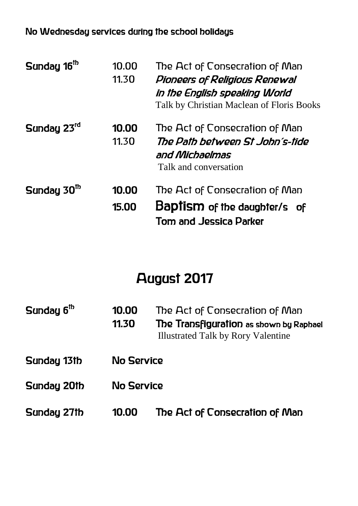#### No Wednesday services during the school holidays

| Sunday 16 <sup>th</sup> | 10.00<br>11.30 | The Act of Consecration of Man<br>Pioneers of Religious Renewal<br>in the English speaking World<br>Talk by Christian Maclean of Floris Books |
|-------------------------|----------------|-----------------------------------------------------------------------------------------------------------------------------------------------|
| Sunday 23rd             | 10.00<br>11.30 | The Act of Consecration of Man<br>The Path between St John´s-tide<br>and Michaelmas<br>Talk and conversation                                  |
| Sunday 30 <sup>th</sup> | 10.00<br>15.00 | The Act of Consecration of Man<br><b>Baptism</b> of the daughter/s of<br><b>Tom and Jessica Parker</b>                                        |

## August 2017

| Sunday 6 <sup>th</sup> | 10.00<br>11.30 | The Act of Consecration of Man<br>The Transfiguration as shown by Raphael<br><b>Illustrated Talk by Rory Valentine</b> |
|------------------------|----------------|------------------------------------------------------------------------------------------------------------------------|
| Sunday 13th            | No Service     |                                                                                                                        |
| Sunday 20th            | No Service     |                                                                                                                        |
| Sunday 27th            | 10.00          | The Act of Consecration of Man                                                                                         |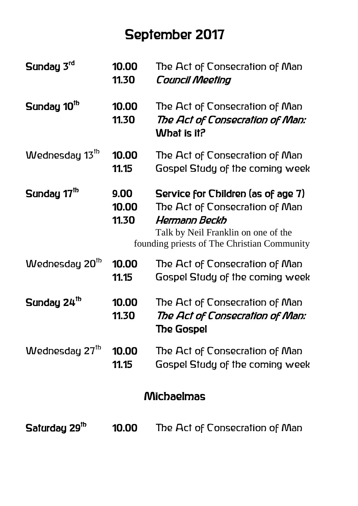## September 2017

| Sunday 3rd                 | 10.00<br>11.30         | The Act of Consecration of Man<br>Council Meeting                                                                                                                           |  |
|----------------------------|------------------------|-----------------------------------------------------------------------------------------------------------------------------------------------------------------------------|--|
| Sunday 10 <sup>th</sup>    | 10.00<br>11.30         | The Act of Consecration of Man<br>The Act of Consecration of Man:<br>What is it?                                                                                            |  |
| Wednesday 13 <sup>th</sup> | 10.00<br>11.15         | The Act of Consecration of Man<br>Gospel Study of the coming week                                                                                                           |  |
| Sunday 17 <sup>th</sup>    | 9.00<br>10.00<br>11.30 | Service for Children (as of age 7)<br>The Act of Consecration of Man<br>Hermann Beckh<br>Talk by Neil Franklin on one of the<br>founding priests of The Christian Community |  |
| Wednesday 20 <sup>th</sup> | 10.00<br>11.15         | The Act of Consecration of Man<br>Gospel Study of the coming week                                                                                                           |  |
| Sunday 24 <sup>th</sup>    | 10.00<br>11.30         | The Act of Consecration of Man<br>The Act of Consecration of Man:<br>The Gospel                                                                                             |  |
| Wednesday 27 <sup>th</sup> | 10.00<br>11.15         | The Act of Consecration of Man<br>Gospel Study of the coming week                                                                                                           |  |
| Michaelmas                 |                        |                                                                                                                                                                             |  |
| Saturday 29 <sup>th</sup>  | 10.00                  | The Act of Consecration of Man                                                                                                                                              |  |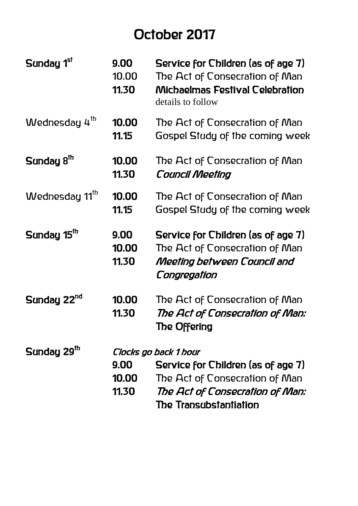## October 2017

| Sunday 1st                 | 9.00<br>10.00<br>11.30 | Service for Children (as of age 7)<br>The Act of Consecration of Man<br><b>Michaelmas Festival Celebration</b><br>details to follow |
|----------------------------|------------------------|-------------------------------------------------------------------------------------------------------------------------------------|
| Wednesday 4 <sup>th</sup>  | 10.00<br>11.15         | The Act of Consecration of Man<br>Gospel Study of the coming week                                                                   |
| Sunday 8 <sup>th</sup>     | 10.00<br>11.30         | The Act of Consecration of Man<br><b>Council Meeting</b>                                                                            |
| Wednesday 11 <sup>th</sup> | 10.00<br>11.15         | The Act of Consecration of Man<br>Gospel Study of the coming week                                                                   |
| Sunday 15 <sup>th</sup>    | 9.00<br>10.00<br>11.30 | Service for Children (as of age 7)<br>The Act of Consecration of Man<br>Meeting between Council and<br>Congregation                 |
| Sunday 22 <sup>nd</sup>    | 10.00<br>11.30         | The Act of Consecration of Man<br>The Act of Consecration of Man:<br>The Offering                                                   |
| Sunday 29 <sup>th</sup>    | Clocks go back 1 hour  |                                                                                                                                     |
|                            | 9.00                   | Service for Children (as of age 7)                                                                                                  |
|                            | 10.00                  | The Act of Consecration of Man                                                                                                      |
|                            | 11.30                  | The Act of Consecration of Man:                                                                                                     |
|                            |                        | The Transubstantiation                                                                                                              |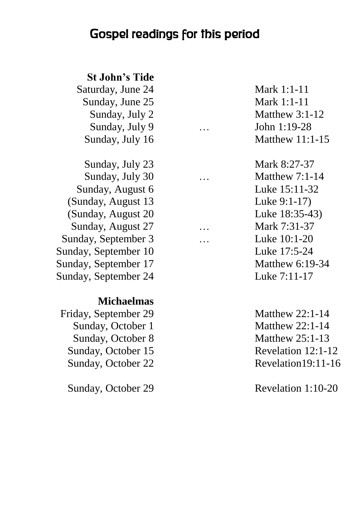### Gospel readings for this period

#### **St John's Tide**

Saturday, June 24 Mark 1:1-11 Sunday, June 25 Mark 1:1-11 Sunday, July 9 … John 1:19-28

Sunday, July 23 Mark 8:27-37 Sunday, July 30 … Matthew 7:1-14 Sunday, August 6 Luke 15:11-32 (Sunday, August 13 Luke 9:1-17) (Sunday, August 20 Luke 18:35-43) Sunday, August 27 … Mark 7:31-37 Sunday, September 3 … Luke 10:1-20 Sunday, September 10 Luke 17:5-24 Sunday, September 17 Matthew 6:19-34 Sunday, September 24 Luke 7:11-17

#### **Michaelmas**

Friday, September 29 Matthew 22:1-14 Sunday, October 1 Matthew 22:1-14 Sunday, October 8 Matthew 25:1-13 Sunday, October 15 Revelation 12:1-12 Sunday, October 22 Revelation19:11-16

Sunday, July 2 Matthew 3:1-12 Sunday, July 16 Matthew 11:1-15

Sunday, October 29 Revelation 1:10-20